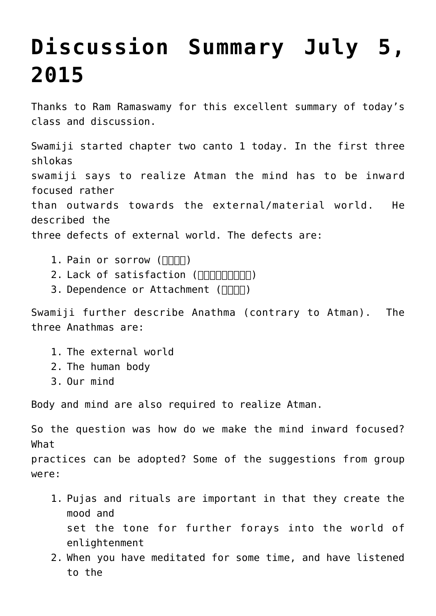## **[Discussion Summary July 5,](http://www.advaidam.com/2015/07/05/discussion-summary-july-5-2015/) [2015](http://www.advaidam.com/2015/07/05/discussion-summary-july-5-2015/)**

Thanks to Ram Ramaswamy for this excellent summary of today's class and discussion.

Swamiji started chapter two canto 1 today. In the first three shlokas swamiji says to realize Atman the mind has to be inward focused rather than outwards towards the external/material world. He described the three defects of external world. The defects are:

- 1. Pain or sorrow  $(\Pi \Pi \Pi)$
- 2. Lack of satisfaction ( $\Box$
- 3. Dependence or Attachment ( $\Box$

Swamiji further describe Anathma (contrary to Atman). The three Anathmas are:

- 1. The external world
- 2. The human body
- 3. Our mind

Body and mind are also required to realize Atman.

So the question was how do we make the mind inward focused? What

practices can be adopted? Some of the suggestions from group were:

- 1. Pujas and rituals are important in that they create the mood and set the tone for further forays into the world of enlightenment
- 2. When you have meditated for some time, and have listened to the